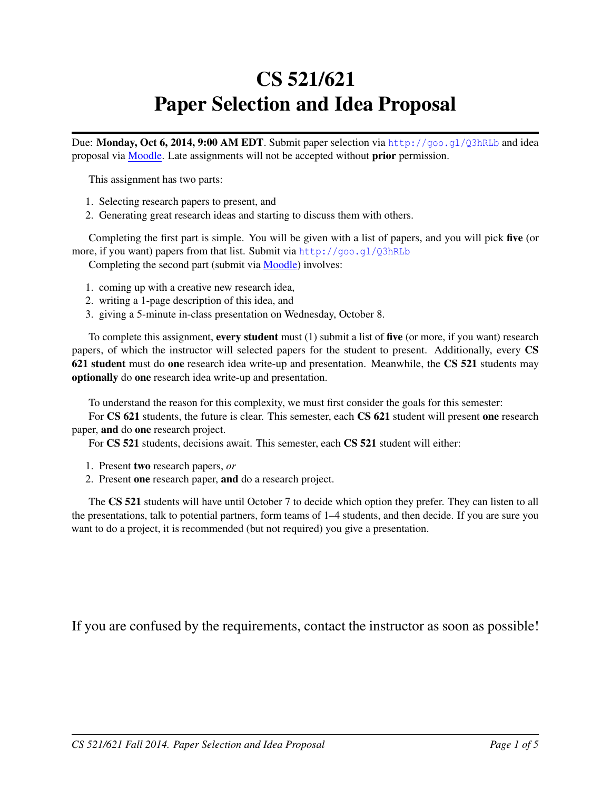# CS 521/621 Paper Selection and Idea Proposal

Due: Monday, Oct 6, 2014, 9:00 AM EDT. Submit paper selection via <http://goo.gl/Q3hRLb> and idea proposal via [Moodle.](https://moodle.umass.edu/course/view.php?id=17268) Late assignments will not be accepted without prior permission.

This assignment has two parts:

- 1. Selecting research papers to present, and
- 2. Generating great research ideas and starting to discuss them with others.

Completing the first part is simple. You will be given with a list of papers, and you will pick five (or more, if you want) papers from that list. Submit via <http://goo.gl/Q3hRLb>

Completing the second part (submit via [Moodle\)](https://moodle.umass.edu/course/view.php?id=17268) involves:

- 1. coming up with a creative new research idea,
- 2. writing a 1-page description of this idea, and
- 3. giving a 5-minute in-class presentation on Wednesday, October 8.

To complete this assignment, every student must (1) submit a list of five (or more, if you want) research papers, of which the instructor will selected papers for the student to present. Additionally, every CS 621 student must do one research idea write-up and presentation. Meanwhile, the CS 521 students may optionally do one research idea write-up and presentation.

To understand the reason for this complexity, we must first consider the goals for this semester:

For CS 621 students, the future is clear. This semester, each CS 621 student will present one research paper, and do one research project.

For CS 521 students, decisions await. This semester, each CS 521 student will either:

- 1. Present two research papers, *or*
- 2. Present one research paper, and do a research project.

The CS 521 students will have until October 7 to decide which option they prefer. They can listen to all the presentations, talk to potential partners, form teams of 1–4 students, and then decide. If you are sure you want to do a project, it is recommended (but not required) you give a presentation.

If you are confused by the requirements, contact the instructor as soon as possible!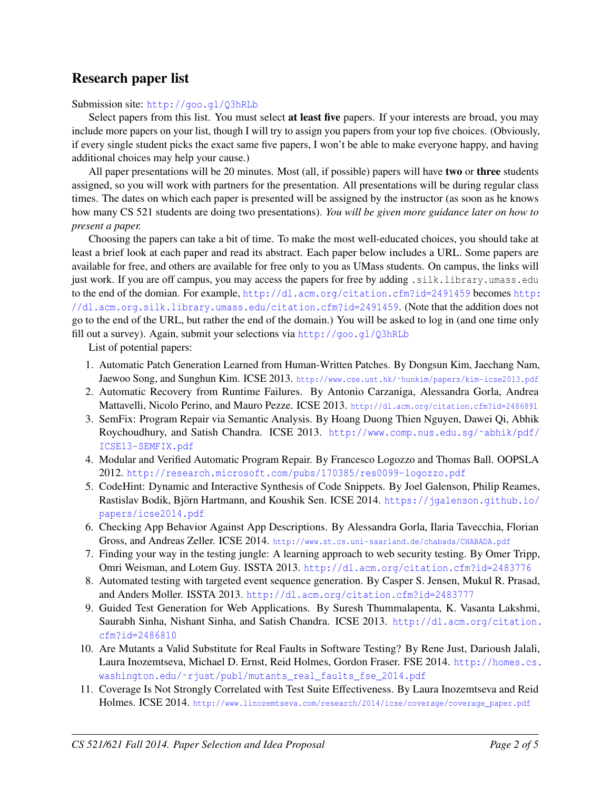### Research paper list

Submission site: <http://goo.gl/Q3hRLb>

Select papers from this list. You must select **at least five** papers. If your interests are broad, you may include more papers on your list, though I will try to assign you papers from your top five choices. (Obviously, if every single student picks the exact same five papers, I won't be able to make everyone happy, and having additional choices may help your cause.)

All paper presentations will be 20 minutes. Most (all, if possible) papers will have two or three students assigned, so you will work with partners for the presentation. All presentations will be during regular class times. The dates on which each paper is presented will be assigned by the instructor (as soon as he knows how many CS 521 students are doing two presentations). *You will be given more guidance later on how to present a paper.*

Choosing the papers can take a bit of time. To make the most well-educated choices, you should take at least a brief look at each paper and read its abstract. Each paper below includes a URL. Some papers are available for free, and others are available for free only to you as UMass students. On campus, the links will just work. If you are off campus, you may access the papers for free by adding .silk.library.umass.edu to the end of the domian. For example, <http://dl.acm.org/citation.cfm?id=2491459> becomes [http:](http://dl.acm.org.silk.library.umass.edu/citation.cfm?id=2491459) [//dl.acm.org.silk.library.umass.edu/citation.cfm?id=2491459](http://dl.acm.org.silk.library.umass.edu/citation.cfm?id=2491459). (Note that the addition does not go to the end of the URL, but rather the end of the domain.) You will be asked to log in (and one time only fill out a survey). Again, submit your selections via <http://goo.gl/Q3hRLb>

List of potential papers:

- 1. Automatic Patch Generation Learned from Human-Written Patches. By Dongsun Kim, Jaechang Nam, Jaewoo Song, and Sunghun Kim. ICSE 2013. http://www.cse.ust.hk/~hunkim/papers/kim-icse2013.pdf
- 2. Automatic Recovery from Runtime Failures. By Antonio Carzaniga, Alessandra Gorla, Andrea Mattavelli, Nicolo Perino, and Mauro Pezze. ICSE 2013. <http://dl.acm.org/citation.cfm?id=2486891>
- 3. SemFix: Program Repair via Semantic Analysis. By Hoang Duong Thien Nguyen, Dawei Qi, Abhik Roychoudhury, and Satish Chandra. ICSE 2013. http://www.comp.nus.edu.sg/~abhik/pdf/ [ICSE13-SEMFIX.pdf](http://www.comp.nus.edu.sg/~abhik/pdf/ICSE13-SEMFIX.pdf)
- 4. Modular and Verified Automatic Program Repair. By Francesco Logozzo and Thomas Ball. OOPSLA 2012. <http://research.microsoft.com/pubs/170385/res0099-logozzo.pdf>
- 5. CodeHint: Dynamic and Interactive Synthesis of Code Snippets. By Joel Galenson, Philip Reames, Rastislav Bodik, Björn Hartmann, and Koushik Sen. ICSE 2014. [https://jgalenson.github.io/](https://jgalenson.github.io/papers/icse2014.pdf) [papers/icse2014.pdf](https://jgalenson.github.io/papers/icse2014.pdf)
- 6. Checking App Behavior Against App Descriptions. By Alessandra Gorla, Ilaria Tavecchia, Florian Gross, and Andreas Zeller. ICSE 2014. <http://www.st.cs.uni-saarland.de/chabada/CHABADA.pdf>
- 7. Finding your way in the testing jungle: A learning approach to web security testing. By Omer Tripp, Omri Weisman, and Lotem Guy. ISSTA 2013. <http://dl.acm.org/citation.cfm?id=2483776>
- 8. Automated testing with targeted event sequence generation. By Casper S. Jensen, Mukul R. Prasad, and Anders Moller. ISSTA 2013. <http://dl.acm.org/citation.cfm?id=2483777>
- 9. Guided Test Generation for Web Applications. By Suresh Thummalapenta, K. Vasanta Lakshmi, Saurabh Sinha, Nishant Sinha, and Satish Chandra. ICSE 2013. [http://dl.acm.org/citation.](http://dl.acm.org/citation.cfm?id=2486810) [cfm?id=2486810](http://dl.acm.org/citation.cfm?id=2486810)
- 10. Are Mutants a Valid Substitute for Real Faults in Software Testing? By Rene Just, Darioush Jalali, Laura Inozemtseva, Michael D. Ernst, Reid Holmes, Gordon Fraser. FSE 2014. [http://homes.cs.](http://homes.cs.washington.edu/~rjust/publ/mutants_real_faults_fse_2014.pdf) washington.edu/~rjust/publ/mutants\_real\_faults\_fse\_2014.pdf
- 11. Coverage Is Not Strongly Correlated with Test Suite Effectiveness. By Laura Inozemtseva and Reid Holmes. ICSE 2014. [http://www.linozemtseva.com/research/2014/icse/coverage/coverage\\_paper.pdf](http://www.linozemtseva.com/research/2014/icse/coverage/coverage_paper.pdf)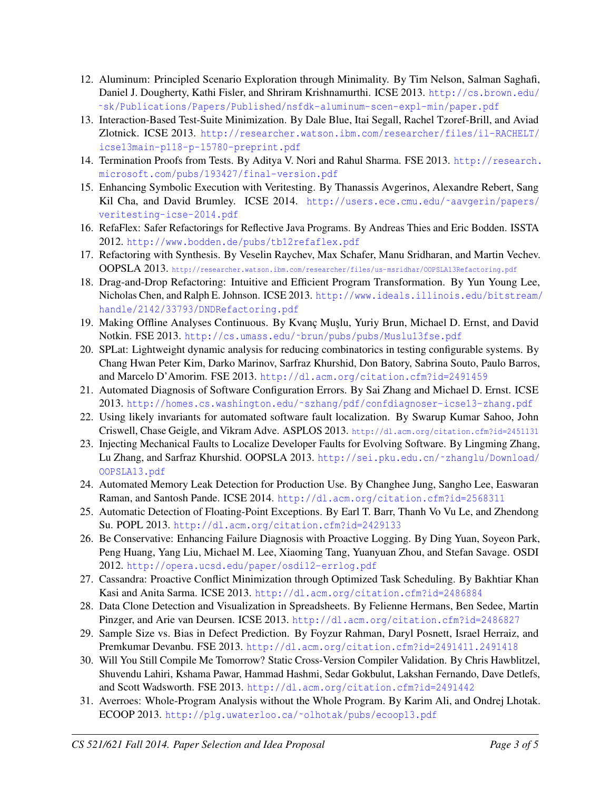- 12. Aluminum: Principled Scenario Exploration through Minimality. By Tim Nelson, Salman Saghafi, Daniel J. Dougherty, Kathi Fisler, and Shriram Krishnamurthi. ICSE 2013. [http://cs.brown.edu/](http://cs.brown.edu/~sk/Publications/Papers/Published/nsfdk-aluminum-scen-expl-min/paper.pdf) [˜sk/Publications/Papers/Published/nsfdk-aluminum-scen-expl-min/paper.pdf](http://cs.brown.edu/~sk/Publications/Papers/Published/nsfdk-aluminum-scen-expl-min/paper.pdf)
- 13. Interaction-Based Test-Suite Minimization. By Dale Blue, Itai Segall, Rachel Tzoref-Brill, and Aviad Zlotnick. ICSE 2013. [http://researcher.watson.ibm.com/researcher/files/il-RACHELT/](http://researcher.watson.ibm.com/researcher/files/il-RACHELT/icse13main-p118-p-15780-preprint.pdf) [icse13main-p118-p-15780-preprint.pdf](http://researcher.watson.ibm.com/researcher/files/il-RACHELT/icse13main-p118-p-15780-preprint.pdf)
- 14. Termination Proofs from Tests. By Aditya V. Nori and Rahul Sharma. FSE 2013. [http://research.](http://research.microsoft.com/pubs/193427/final-version.pdf) [microsoft.com/pubs/193427/final-version.pdf](http://research.microsoft.com/pubs/193427/final-version.pdf)
- 15. Enhancing Symbolic Execution with Veritesting. By Thanassis Avgerinos, Alexandre Rebert, Sang Kil Cha, and David Brumley. ICSE 2014. http://users.ece.cmu.edu/~aavgerin/papers/ [veritesting-icse-2014.pdf](http://users.ece.cmu.edu/~aavgerin/papers/veritesting-icse-2014.pdf)
- 16. RefaFlex: Safer Refactorings for Reflective Java Programs. By Andreas Thies and Eric Bodden. ISSTA 2012. <http://www.bodden.de/pubs/tb12refaflex.pdf>
- 17. Refactoring with Synthesis. By Veselin Raychev, Max Schafer, Manu Sridharan, and Martin Vechev. OOPSLA 2013. <http://researcher.watson.ibm.com/researcher/files/us-msridhar/OOPSLA13Refactoring.pdf>
- 18. Drag-and-Drop Refactoring: Intuitive and Efficient Program Transformation. By Yun Young Lee, Nicholas Chen, and Ralph E. Johnson. ICSE 2013. [http://www.ideals.illinois.edu/bitstream/](http://www.ideals.illinois.edu/bitstream/handle/2142/33793/DNDRefactoring.pdf) [handle/2142/33793/DNDRefactoring.pdf](http://www.ideals.illinois.edu/bitstream/handle/2142/33793/DNDRefactoring.pdf)
- 19. Making Offline Analyses Continuous. By Kvanç Muşlu, Yuriy Brun, Michael D. Ernst, and David Notkin. FSE 2013. [http://cs.umass.edu/˜brun/pubs/pubs/Muslu13fse.pdf](http://cs.umass.edu/~brun/pubs/pubs/Muslu13fse.pdf)
- 20. SPLat: Lightweight dynamic analysis for reducing combinatorics in testing configurable systems. By Chang Hwan Peter Kim, Darko Marinov, Sarfraz Khurshid, Don Batory, Sabrina Souto, Paulo Barros, and Marcelo D'Amorim. FSE 2013. <http://dl.acm.org/citation.cfm?id=2491459>
- 21. Automated Diagnosis of Software Configuration Errors. By Sai Zhang and Michael D. Ernst. ICSE 2013. [http://homes.cs.washington.edu/˜szhang/pdf/confdiagnoser-icse13-zhang.pdf](http://homes.cs.washington.edu/~szhang/pdf/confdiagnoser-icse13-zhang.pdf)
- 22. Using likely invariants for automated software fault localization. By Swarup Kumar Sahoo, John Criswell, Chase Geigle, and Vikram Adve. ASPLOS 2013. <http://dl.acm.org/citation.cfm?id=2451131>
- 23. Injecting Mechanical Faults to Localize Developer Faults for Evolving Software. By Lingming Zhang, Lu Zhang, and Sarfraz Khurshid. OOPSLA 2013. [http://sei.pku.edu.cn/˜zhanglu/Download/](http://sei.pku.edu.cn/~zhanglu/Download/OOPSLA13.pdf) [OOPSLA13.pdf](http://sei.pku.edu.cn/~zhanglu/Download/OOPSLA13.pdf)
- 24. Automated Memory Leak Detection for Production Use. By Changhee Jung, Sangho Lee, Easwaran Raman, and Santosh Pande. ICSE 2014. <http://dl.acm.org/citation.cfm?id=2568311>
- 25. Automatic Detection of Floating-Point Exceptions. By Earl T. Barr, Thanh Vo Vu Le, and Zhendong Su. POPL 2013. <http://dl.acm.org/citation.cfm?id=2429133>
- 26. Be Conservative: Enhancing Failure Diagnosis with Proactive Logging. By Ding Yuan, Soyeon Park, Peng Huang, Yang Liu, Michael M. Lee, Xiaoming Tang, Yuanyuan Zhou, and Stefan Savage. OSDI 2012. <http://opera.ucsd.edu/paper/osdi12-errlog.pdf>
- 27. Cassandra: Proactive Conflict Minimization through Optimized Task Scheduling. By Bakhtiar Khan Kasi and Anita Sarma. ICSE 2013. <http://dl.acm.org/citation.cfm?id=2486884>
- 28. Data Clone Detection and Visualization in Spreadsheets. By Felienne Hermans, Ben Sedee, Martin Pinzger, and Arie van Deursen. ICSE 2013. <http://dl.acm.org/citation.cfm?id=2486827>
- 29. Sample Size vs. Bias in Defect Prediction. By Foyzur Rahman, Daryl Posnett, Israel Herraiz, and Premkumar Devanbu. FSE 2013. <http://dl.acm.org/citation.cfm?id=2491411.2491418>
- 30. Will You Still Compile Me Tomorrow? Static Cross-Version Compiler Validation. By Chris Hawblitzel, Shuvendu Lahiri, Kshama Pawar, Hammad Hashmi, Sedar Gokbulut, Lakshan Fernando, Dave Detlefs, and Scott Wadsworth. FSE 2013. <http://dl.acm.org/citation.cfm?id=2491442>
- 31. Averroes: Whole-Program Analysis without the Whole Program. By Karim Ali, and Ondrej Lhotak. ECOOP 2013. [http://plg.uwaterloo.ca/˜olhotak/pubs/ecoop13.pdf](http://plg.uwaterloo.ca/~olhotak/pubs/ecoop13.pdf)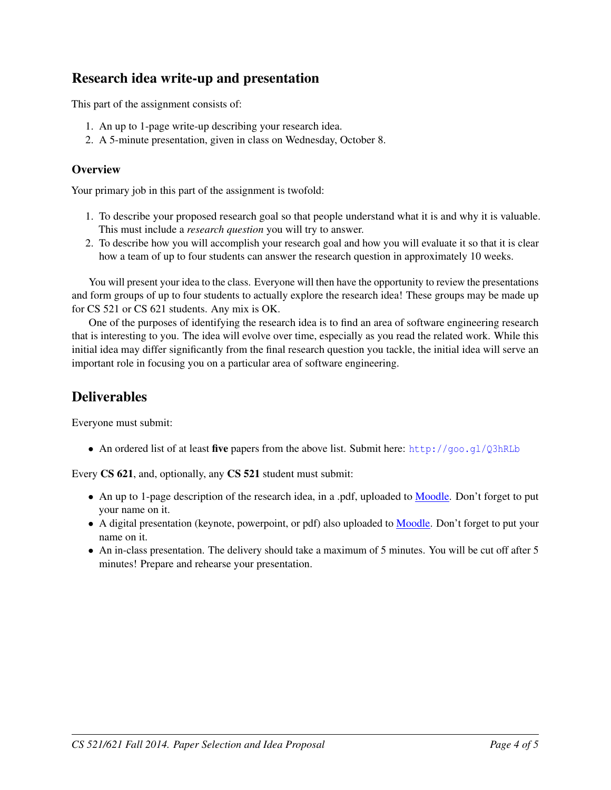# Research idea write-up and presentation

This part of the assignment consists of:

- 1. An up to 1-page write-up describing your research idea.
- 2. A 5-minute presentation, given in class on Wednesday, October 8.

#### **Overview**

Your primary job in this part of the assignment is twofold:

- 1. To describe your proposed research goal so that people understand what it is and why it is valuable. This must include a *research question* you will try to answer.
- 2. To describe how you will accomplish your research goal and how you will evaluate it so that it is clear how a team of up to four students can answer the research question in approximately 10 weeks.

You will present your idea to the class. Everyone will then have the opportunity to review the presentations and form groups of up to four students to actually explore the research idea! These groups may be made up for CS 521 or CS 621 students. Any mix is OK.

One of the purposes of identifying the research idea is to find an area of software engineering research that is interesting to you. The idea will evolve over time, especially as you read the related work. While this initial idea may differ significantly from the final research question you tackle, the initial idea will serve an important role in focusing you on a particular area of software engineering.

## <span id="page-3-0"></span>**Deliverables**

Everyone must submit:

• An ordered list of at least five papers from the above list. Submit here: <http://goo.gl/Q3hRLb>

Every CS 621, and, optionally, any CS 521 student must submit:

- An up to 1-page description of the research idea, in a .pdf, uploaded to [Moodle.](https://moodle.umass.edu/course/view.php?id=17268) Don't forget to put your name on it.
- A digital presentation (keynote, powerpoint, or pdf) also uploaded to [Moodle.](https://moodle.umass.edu/course/view.php?id=17268) Don't forget to put your name on it.
- An in-class presentation. The delivery should take a maximum of 5 minutes. You will be cut off after 5 minutes! Prepare and rehearse your presentation.